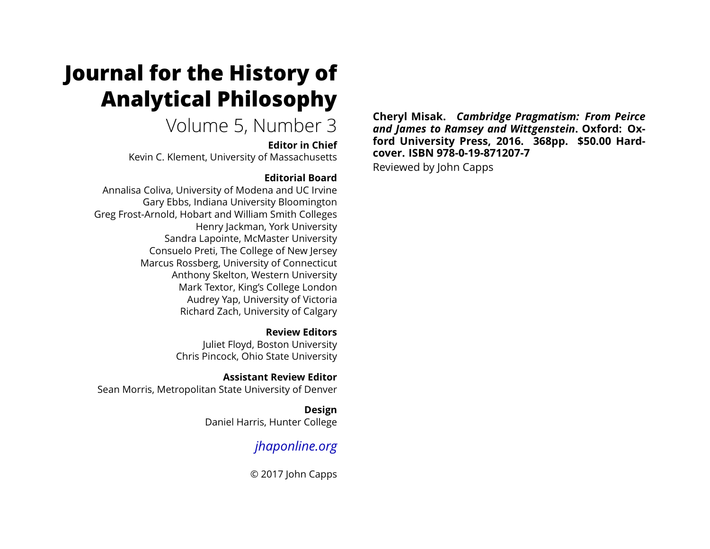# **Journal for the History of Analytical Philosophy**

# Volume 5, Number 3

**Editor in Chief**

Kevin C. Klement, University of Massachusetts

### **Editorial Board**

Annalisa Coliva, University of Modena and UC Irvine Gary Ebbs, Indiana University Bloomington Greg Frost-Arnold, Hobart and William Smith Colleges Henry Jackman, York University Sandra Lapointe, McMaster University Consuelo Preti, The College of New Jersey Marcus Rossberg, University of Connecticut Anthony Skelton, Western University Mark Textor, King's College London Audrey Yap, University of Victoria Richard Zach, University of Calgary

> **Review Editors** Juliet Floyd, Boston University Chris Pincock, Ohio State University

**Assistant Review Editor** Sean Morris, Metropolitan State University of Denver

> **Design** Daniel Harris, Hunter College

# *[jhaponline.org](https://jhaponline.org)*

© 2017 John Capps

**Cheryl Misak.** *Cambridge Pragmatism: From Peirce and James to Ramsey and Wittgenstein***. Oxford: Oxford University Press, 2016. 368pp. \$50.00 Hardcover. ISBN 978-0-19-871207-7** Reviewed by John Capps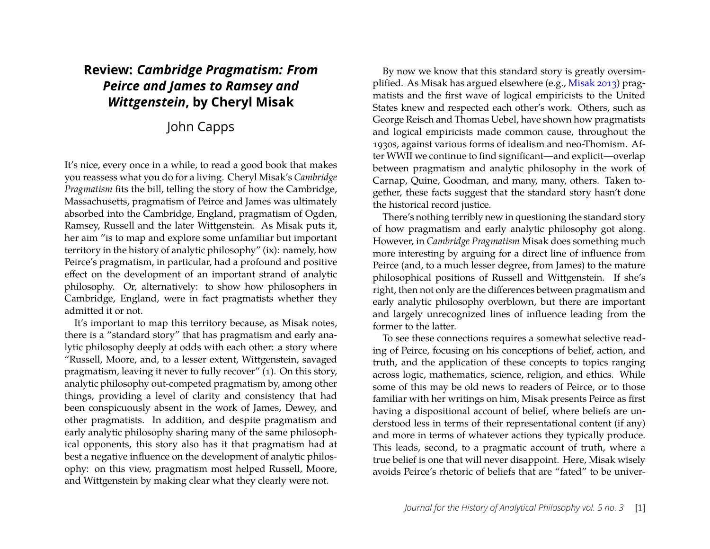## **Review:** *Cambridge Pragmatism: From Peirce and James to Ramsey and Wittgenstein***, by Cheryl Misak**

## John Capps

It's nice, every once in a while, to read a good book that makes you reassess what you do for a living. Cheryl Misak's *Cambridge Pragmatism* fits the bill, telling the story of how the Cambridge, Massachusetts, pragmatism of Peirce and James was ultimately absorbed into the Cambridge, England, pragmatism of Ogden, Ramsey, Russell and the later Wittgenstein. As Misak puts it, her aim "is to map and explore some unfamiliar but important territory in the history of analytic philosophy" (ix): namely, how Peirce's pragmatism, in particular, had a profound and positive effect on the development of an important strand of analytic philosophy. Or, alternatively: to show how philosophers in Cambridge, England, were in fact pragmatists whether they admitted it or not.

It's important to map this territory because, as Misak notes, there is a "standard story" that has pragmatism and early analytic philosophy deeply at odds with each other: a story where "Russell, Moore, and, to a lesser extent, Wittgenstein, savaged pragmatism, leaving it never to fully recover" (1). On this story, analytic philosophy out-competed pragmatism by, among other things, providing a level of clarity and consistency that had been conspicuously absent in the work of James, Dewey, and other pragmatists. In addition, and despite pragmatism and early analytic philosophy sharing many of the same philosophical opponents, this story also has it that pragmatism had at best a negative influence on the development of analytic philosophy: on this view, pragmatism most helped Russell, Moore, and Wittgenstein by making clear what they clearly were not.

By now we know that this standard story is greatly oversimplified. As Misak has argued elsewhere (e.g., [Misak 2013\)](#page-5-0) pragmatists and the first wave of logical empiricists to the United States knew and respected each other's work. Others, such as George Reisch and Thomas Uebel, have shown how pragmatists and logical empiricists made common cause, throughout the 1930s, against various forms of idealism and neo-Thomism. After WWII we continue to find significant—and explicit—overlap between pragmatism and analytic philosophy in the work of Carnap, Quine, Goodman, and many, many, others. Taken together, these facts suggest that the standard story hasn't done the historical record justice.

There's nothing terribly new in questioning the standard story of how pragmatism and early analytic philosophy got along. However, in *Cambridge Pragmatism* Misak does something much more interesting by arguing for a direct line of influence from Peirce (and, to a much lesser degree, from James) to the mature philosophical positions of Russell and Wittgenstein. If she's right, then not only are the differences between pragmatism and early analytic philosophy overblown, but there are important and largely unrecognized lines of influence leading from the former to the latter.

To see these connections requires a somewhat selective reading of Peirce, focusing on his conceptions of belief, action, and truth, and the application of these concepts to topics ranging across logic, mathematics, science, religion, and ethics. While some of this may be old news to readers of Peirce, or to those familiar with her writings on him, Misak presents Peirce as first having a dispositional account of belief, where beliefs are understood less in terms of their representational content (if any) and more in terms of whatever actions they typically produce. This leads, second, to a pragmatic account of truth, where a true belief is one that will never disappoint. Here, Misak wisely avoids Peirce's rhetoric of beliefs that are "fated" to be univer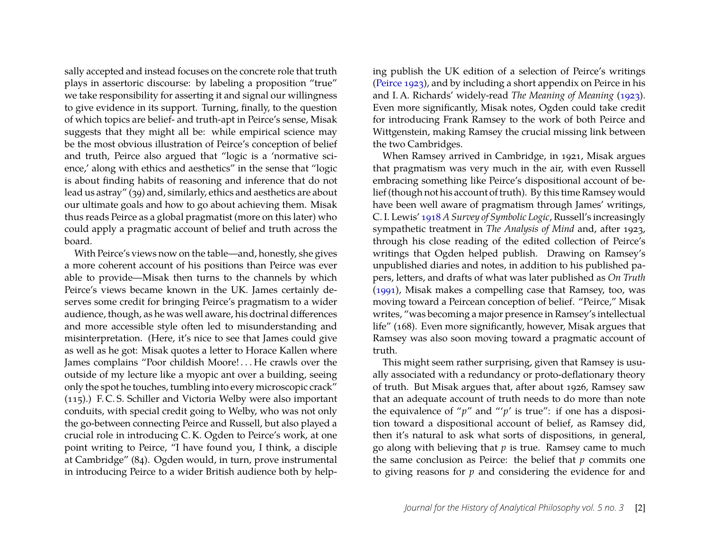sally accepted and instead focuses on the concrete role that truth plays in assertoric discourse: by labeling a proposition "true" we take responsibility for asserting it and signal our willingness to give evidence in its support. Turning, finally, to the question of which topics are belief- and truth-apt in Peirce's sense, Misak suggests that they might all be: while empirical science may be the most obvious illustration of Peirce's conception of belief and truth, Peirce also argued that "logic is a 'normative science,' along with ethics and aesthetics" in the sense that "logic is about finding habits of reasoning and inference that do not lead us astray" (39) and, similarly, ethics and aesthetics are about our ultimate goals and how to go about achieving them. Misak thus reads Peirce as a global pragmatist (more on this later) who could apply a pragmatic account of belief and truth across the board.

With Peirce's views now on the table—and, honestly, she gives a more coherent account of his positions than Peirce was ever able to provide—Misak then turns to the channels by which Peirce's views became known in the UK. James certainly deserves some credit for bringing Peirce's pragmatism to a wider audience, though, as he was well aware, his doctrinal differences and more accessible style often led to misunderstanding and misinterpretation. (Here, it's nice to see that James could give as well as he got: Misak quotes a letter to Horace Kallen where James complains "Poor childish Moore! . . . He crawls over the outside of my lecture like a myopic ant over a building, seeing only the spot he touches, tumbling into every microscopic crack" (115).) F. C. S. Schiller and Victoria Welby were also important conduits, with special credit going to Welby, who was not only the go-between connecting Peirce and Russell, but also played a crucial role in introducing C. K. Ogden to Peirce's work, at one point writing to Peirce, "I have found you, I think, a disciple at Cambridge" (84). Ogden would, in turn, prove instrumental in introducing Peirce to a wider British audience both by helping publish the UK edition of a selection of Peirce's writings [\(Peirce 1923\)](#page-5-1), and by including a short appendix on Peirce in his and I. A. Richards' widely-read *The Meaning of Meaning* [\(1923\)](#page-5-2). Even more significantly, Misak notes, Ogden could take credit for introducing Frank Ramsey to the work of both Peirce and Wittgenstein, making Ramsey the crucial missing link between the two Cambridges.

When Ramsey arrived in Cambridge, in 1921, Misak argues that pragmatism was very much in the air, with even Russell embracing something like Peirce's dispositional account of belief (though not his account of truth). By this time Ramsey would have been well aware of pragmatism through James' writings, C. I. Lewis' [1918](#page-5-3) *A Survey of Symbolic Logic*, Russell's increasingly sympathetic treatment in *The Analysis of Mind* and, after 1923, through his close reading of the edited collection of Peirce's writings that Ogden helped publish. Drawing on Ramsey's unpublished diaries and notes, in addition to his published papers, letters, and drafts of what was later published as *On Truth* [\(1991\)](#page-5-4), Misak makes a compelling case that Ramsey, too, was moving toward a Peircean conception of belief. "Peirce," Misak writes, "was becoming a major presence in Ramsey's intellectual life" (168). Even more significantly, however, Misak argues that Ramsey was also soon moving toward a pragmatic account of truth.

This might seem rather surprising, given that Ramsey is usually associated with a redundancy or proto-deflationary theory of truth. But Misak argues that, after about 1926, Ramsey saw that an adequate account of truth needs to do more than note the equivalence of " $p$ " and "' $p$ ' is true": if one has a disposition toward a dispositional account of belief, as Ramsey did, then it's natural to ask what sorts of dispositions, in general, go along with believing that *p* is true. Ramsey came to much the same conclusion as Peirce: the belief that *p* commits one to giving reasons for *p* and considering the evidence for and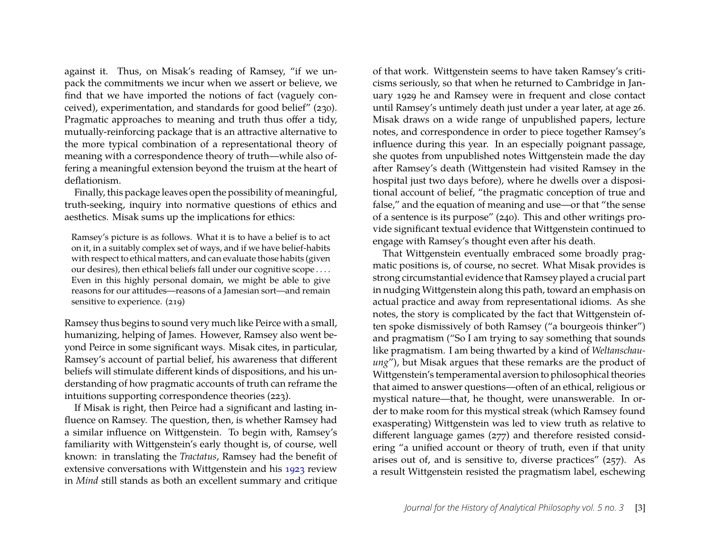against it. Thus, on Misak's reading of Ramsey, "if we unpack the commitments we incur when we assert or believe, we find that we have imported the notions of fact (vaguely conceived), experimentation, and standards for good belief" (230). Pragmatic approaches to meaning and truth thus offer a tidy, mutually-reinforcing package that is an attractive alternative to the more typical combination of a representational theory of meaning with a correspondence theory of truth—while also offering a meaningful extension beyond the truism at the heart of deflationism.

Finally, this package leaves open the possibility of meaningful, truth-seeking, inquiry into normative questions of ethics and aesthetics. Misak sums up the implications for ethics:

Ramsey's picture is as follows. What it is to have a belief is to act on it, in a suitably complex set of ways, and if we have belief-habits with respect to ethical matters, and can evaluate those habits (given our desires), then ethical beliefs fall under our cognitive scope . . . . Even in this highly personal domain, we might be able to give reasons for our attitudes—reasons of a Jamesian sort—and remain sensitive to experience. (219)

Ramsey thus begins to sound very much like Peirce with a small, humanizing, helping of James. However, Ramsey also went beyond Peirce in some significant ways. Misak cites, in particular, Ramsey's account of partial belief, his awareness that different beliefs will stimulate different kinds of dispositions, and his understanding of how pragmatic accounts of truth can reframe the intuitions supporting correspondence theories (223).

If Misak is right, then Peirce had a significant and lasting influence on Ramsey. The question, then, is whether Ramsey had a similar influence on Wittgenstein. To begin with, Ramsey's familiarity with Wittgenstein's early thought is, of course, well known: in translating the *Tractatus*, Ramsey had the benefit of extensive conversations with Wittgenstein and his [1923](#page-5-5) review in *Mind* still stands as both an excellent summary and critique

of that work. Wittgenstein seems to have taken Ramsey's criticisms seriously, so that when he returned to Cambridge in January 1929 he and Ramsey were in frequent and close contact until Ramsey's untimely death just under a year later, at age 26. Misak draws on a wide range of unpublished papers, lecture notes, and correspondence in order to piece together Ramsey's influence during this year. In an especially poignant passage, she quotes from unpublished notes Wittgenstein made the day after Ramsey's death (Wittgenstein had visited Ramsey in the hospital just two days before), where he dwells over a dispositional account of belief, "the pragmatic conception of true and false," and the equation of meaning and use—or that "the sense of a sentence is its purpose" (240). This and other writings provide significant textual evidence that Wittgenstein continued to engage with Ramsey's thought even after his death.

That Wittgenstein eventually embraced some broadly pragmatic positions is, of course, no secret. What Misak provides is strong circumstantial evidence that Ramsey played a crucial part in nudging Wittgenstein along this path, toward an emphasis on actual practice and away from representational idioms. As she notes, the story is complicated by the fact that Wittgenstein often spoke dismissively of both Ramsey ("a bourgeois thinker") and pragmatism ("So I am trying to say something that sounds like pragmatism. I am being thwarted by a kind of *Weltanschauung*"), but Misak argues that these remarks are the product of Wittgenstein's temperamental aversion to philosophical theories that aimed to answer questions—often of an ethical, religious or mystical nature—that, he thought, were unanswerable. In order to make room for this mystical streak (which Ramsey found exasperating) Wittgenstein was led to view truth as relative to different language games (277) and therefore resisted considering "a unified account or theory of truth, even if that unity arises out of, and is sensitive to, diverse practices" (257). As a result Wittgenstein resisted the pragmatism label, eschewing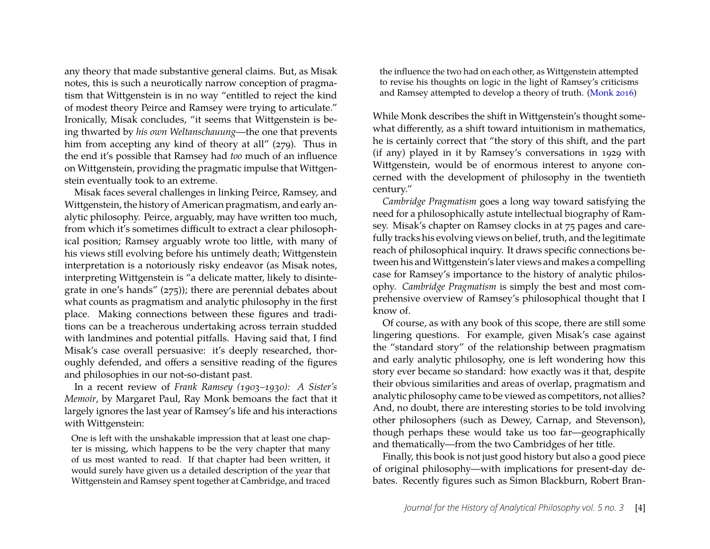any theory that made substantive general claims. But, as Misak notes, this is such a neurotically narrow conception of pragmatism that Wittgenstein is in no way "entitled to reject the kind of modest theory Peirce and Ramsey were trying to articulate." Ironically, Misak concludes, "it seems that Wittgenstein is being thwarted by *his own Weltanschauung*—the one that prevents him from accepting any kind of theory at all" (279). Thus in the end it's possible that Ramsey had *too* much of an influence on Wittgenstein, providing the pragmatic impulse that Wittgenstein eventually took to an extreme.

Misak faces several challenges in linking Peirce, Ramsey, and Wittgenstein, the history of American pragmatism, and early analytic philosophy. Peirce, arguably, may have written too much, from which it's sometimes difficult to extract a clear philosophical position; Ramsey arguably wrote too little, with many of his views still evolving before his untimely death; Wittgenstein interpretation is a notoriously risky endeavor (as Misak notes, interpreting Wittgenstein is "a delicate matter, likely to disintegrate in one's hands" (275)); there are perennial debates about what counts as pragmatism and analytic philosophy in the first place. Making connections between these figures and traditions can be a treacherous undertaking across terrain studded with landmines and potential pitfalls. Having said that, I find Misak's case overall persuasive: it's deeply researched, thoroughly defended, and offers a sensitive reading of the figures and philosophies in our not-so-distant past.

In a recent review of *Frank Ramsey (1903–1930): A Sister's Memoir*, by Margaret Paul, Ray Monk bemoans the fact that it largely ignores the last year of Ramsey's life and his interactions with Wittgenstein:

One is left with the unshakable impression that at least one chapter is missing, which happens to be the very chapter that many of us most wanted to read. If that chapter had been written, it would surely have given us a detailed description of the year that Wittgenstein and Ramsey spent together at Cambridge, and traced

the influence the two had on each other, as Wittgenstein attempted to revise his thoughts on logic in the light of Ramsey's criticisms and Ramsey attempted to develop a theory of truth. [\(Monk 2016\)](#page-5-6)

While Monk describes the shift in Wittgenstein's thought somewhat differently, as a shift toward intuitionism in mathematics, he is certainly correct that "the story of this shift, and the part (if any) played in it by Ramsey's conversations in 1929 with Wittgenstein, would be of enormous interest to anyone concerned with the development of philosophy in the twentieth century."

*Cambridge Pragmatism* goes a long way toward satisfying the need for a philosophically astute intellectual biography of Ramsey. Misak's chapter on Ramsey clocks in at 75 pages and carefully tracks his evolving views on belief, truth, and the legitimate reach of philosophical inquiry. It draws specific connections between his and Wittgenstein's later views and makes a compelling case for Ramsey's importance to the history of analytic philosophy. *Cambridge Pragmatism* is simply the best and most comprehensive overview of Ramsey's philosophical thought that I know of.

Of course, as with any book of this scope, there are still some lingering questions. For example, given Misak's case against the "standard story" of the relationship between pragmatism and early analytic philosophy, one is left wondering how this story ever became so standard: how exactly was it that, despite their obvious similarities and areas of overlap, pragmatism and analytic philosophy came to be viewed as competitors, not allies? And, no doubt, there are interesting stories to be told involving other philosophers (such as Dewey, Carnap, and Stevenson), though perhaps these would take us too far—geographically and thematically—from the two Cambridges of her title.

Finally, this book is not just good history but also a good piece of original philosophy—with implications for present-day debates. Recently figures such as Simon Blackburn, Robert Bran-